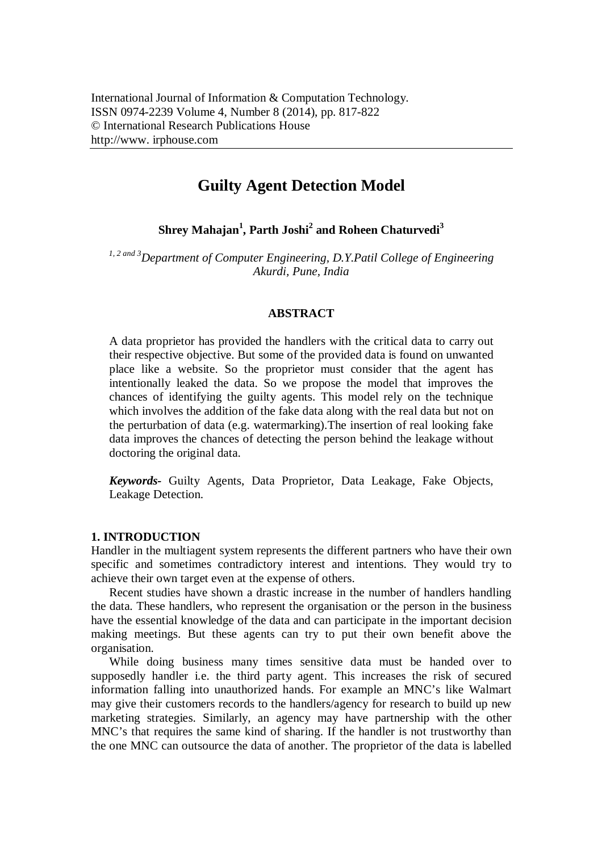# **Guilty Agent Detection Model**

**Shrey Mahajan<sup>1</sup> , Parth Joshi<sup>2</sup> and Roheen Chaturvedi<sup>3</sup>**

*1, 2 and 3Department of Computer Engineering, D.Y.Patil College of Engineering Akurdi, Pune, India*

## **ABSTRACT**

A data proprietor has provided the handlers with the critical data to carry out their respective objective. But some of the provided data is found on unwanted place like a website. So the proprietor must consider that the agent has intentionally leaked the data. So we propose the model that improves the chances of identifying the guilty agents. This model rely on the technique which involves the addition of the fake data along with the real data but not on the perturbation of data (e.g. watermarking).The insertion of real looking fake data improves the chances of detecting the person behind the leakage without doctoring the original data.

*Keywords-* Guilty Agents, Data Proprietor, Data Leakage, Fake Objects, Leakage Detection.

# **1. INTRODUCTION**

Handler in the multiagent system represents the different partners who have their own specific and sometimes contradictory interest and intentions. They would try to achieve their own target even at the expense of others.

Recent studies have shown a drastic increase in the number of handlers handling the data. These handlers, who represent the organisation or the person in the business have the essential knowledge of the data and can participate in the important decision making meetings. But these agents can try to put their own benefit above the organisation.

While doing business many times sensitive data must be handed over to supposedly handler i.e. the third party agent. This increases the risk of secured information falling into unauthorized hands. For example an MNC's like Walmart may give their customers records to the handlers/agency for research to build up new marketing strategies. Similarly, an agency may have partnership with the other MNC's that requires the same kind of sharing. If the handler is not trustworthy than the one MNC can outsource the data of another. The proprietor of the data is labelled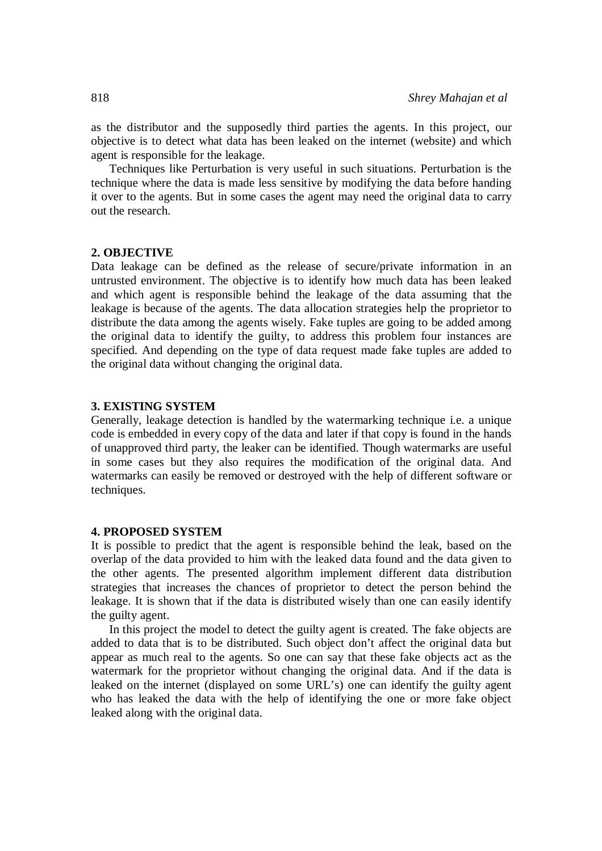as the distributor and the supposedly third parties the agents. In this project, our objective is to detect what data has been leaked on the internet (website) and which agent is responsible for the leakage.

Techniques like Perturbation is very useful in such situations. Perturbation is the technique where the data is made less sensitive by modifying the data before handing it over to the agents. But in some cases the agent may need the original data to carry out the research.

#### **2. OBJECTIVE**

Data leakage can be defined as the release of secure/private information in an untrusted environment. The objective is to identify how much data has been leaked and which agent is responsible behind the leakage of the data assuming that the leakage is because of the agents. The data allocation strategies help the proprietor to distribute the data among the agents wisely. Fake tuples are going to be added among the original data to identify the guilty, to address this problem four instances are specified. And depending on the type of data request made fake tuples are added to the original data without changing the original data.

#### **3. EXISTING SYSTEM**

Generally, leakage detection is handled by the watermarking technique i.e. a unique code is embedded in every copy of the data and later if that copy is found in the hands of unapproved third party, the leaker can be identified. Though watermarks are useful in some cases but they also requires the modification of the original data. And watermarks can easily be removed or destroyed with the help of different software or techniques.

## **4. PROPOSED SYSTEM**

It is possible to predict that the agent is responsible behind the leak, based on the overlap of the data provided to him with the leaked data found and the data given to the other agents. The presented algorithm implement different data distribution strategies that increases the chances of proprietor to detect the person behind the leakage. It is shown that if the data is distributed wisely than one can easily identify the guilty agent.

In this project the model to detect the guilty agent is created. The fake objects are added to data that is to be distributed. Such object don't affect the original data but appear as much real to the agents. So one can say that these fake objects act as the watermark for the proprietor without changing the original data. And if the data is leaked on the internet (displayed on some URL's) one can identify the guilty agent who has leaked the data with the help of identifying the one or more fake object leaked along with the original data.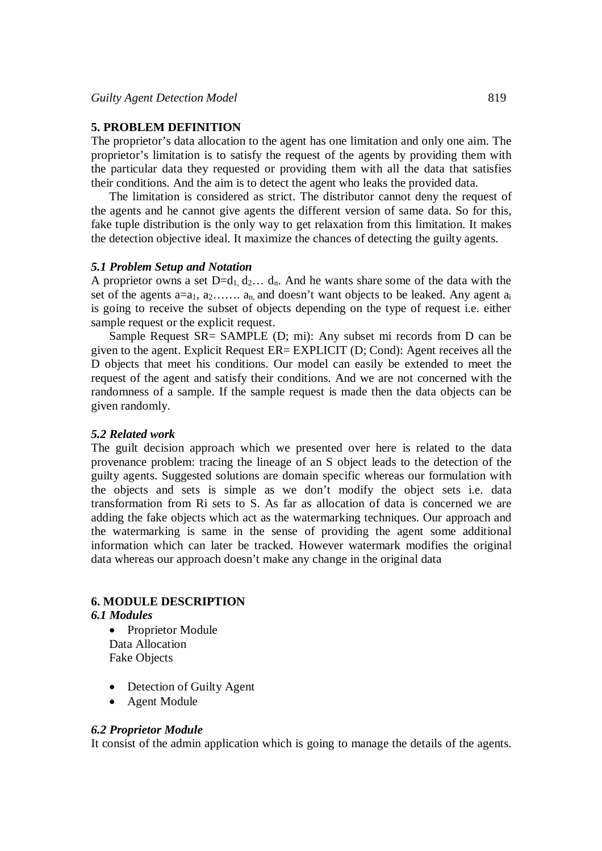## **5. PROBLEM DEFINITION**

The proprietor's data allocation to the agent has one limitation and only one aim. The proprietor's limitation is to satisfy the request of the agents by providing them with the particular data they requested or providing them with all the data that satisfies their conditions. And the aim is to detect the agent who leaks the provided data.

The limitation is considered as strict. The distributor cannot deny the request of the agents and he cannot give agents the different version of same data. So for this, fake tuple distribution is the only way to get relaxation from this limitation. It makes the detection objective ideal. It maximize the chances of detecting the guilty agents.

## *5.1 Problem Setup and Notation*

A proprietor owns a set  $D=d_1, d_2, \ldots, d_n$ . And he wants share some of the data with the set of the agents  $a=a_1, a_2, \ldots, a_n$  and doesn't want objects to be leaked. Any agent  $a_i$ is going to receive the subset of objects depending on the type of request i.e. either sample request or the explicit request.

Sample Request SR= SAMPLE (D; mi): Any subset mi records from D can be given to the agent. Explicit Request ER= EXPLICIT (D; Cond): Agent receives all the D objects that meet his conditions. Our model can easily be extended to meet the request of the agent and satisfy their conditions. And we are not concerned with the randomness of a sample. If the sample request is made then the data objects can be given randomly.

#### *5.2 Related work*

The guilt decision approach which we presented over here is related to the data provenance problem: tracing the lineage of an S object leads to the detection of the guilty agents. Suggested solutions are domain specific whereas our formulation with the objects and sets is simple as we don't modify the object sets i.e. data transformation from Ri sets to S. As far as allocation of data is concerned we are adding the fake objects which act as the watermarking techniques. Our approach and the watermarking is same in the sense of providing the agent some additional information which can later be tracked. However watermark modifies the original data whereas our approach doesn't make any change in the original data

## **6. MODULE DESCRIPTION**

## *6.1 Modules*

- Proprietor Module Data Allocation Fake Objects
- Detection of Guilty Agent
- Agent Module

## *6.2 Proprietor Module*

It consist of the admin application which is going to manage the details of the agents.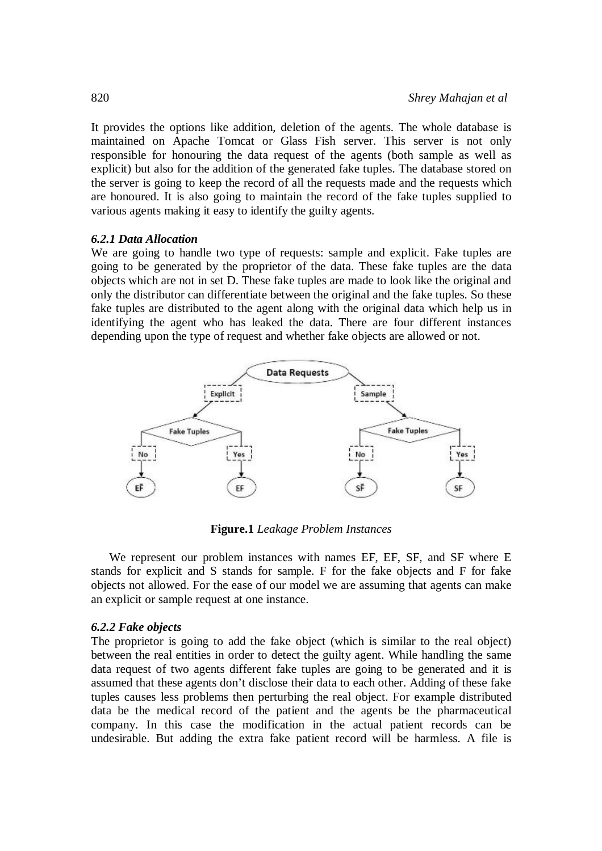It provides the options like addition, deletion of the agents. The whole database is maintained on Apache Tomcat or Glass Fish server. This server is not only responsible for honouring the data request of the agents (both sample as well as explicit) but also for the addition of the generated fake tuples. The database stored on the server is going to keep the record of all the requests made and the requests which are honoured. It is also going to maintain the record of the fake tuples supplied to various agents making it easy to identify the guilty agents.

## *6.2.1 Data Allocation*

We are going to handle two type of requests: sample and explicit. Fake tuples are going to be generated by the proprietor of the data. These fake tuples are the data objects which are not in set D. These fake tuples are made to look like the original and only the distributor can differentiate between the original and the fake tuples. So these fake tuples are distributed to the agent along with the original data which help us in identifying the agent who has leaked the data. There are four different instances depending upon the type of request and whether fake objects are allowed or not.



**Figure.1** *Leakage Problem Instances*

We represent our problem instances with names EF, EF, SF, and SF where E stands for explicit and S stands for sample. F for the fake objects and F̄ for fake objects not allowed. For the ease of our model we are assuming that agents can make an explicit or sample request at one instance.

## *6.2.2 Fake objects*

The proprietor is going to add the fake object (which is similar to the real object) between the real entities in order to detect the guilty agent. While handling the same data request of two agents different fake tuples are going to be generated and it is assumed that these agents don't disclose their data to each other. Adding of these fake tuples causes less problems then perturbing the real object. For example distributed data be the medical record of the patient and the agents be the pharmaceutical company. In this case the modification in the actual patient records can be undesirable. But adding the extra fake patient record will be harmless. A file is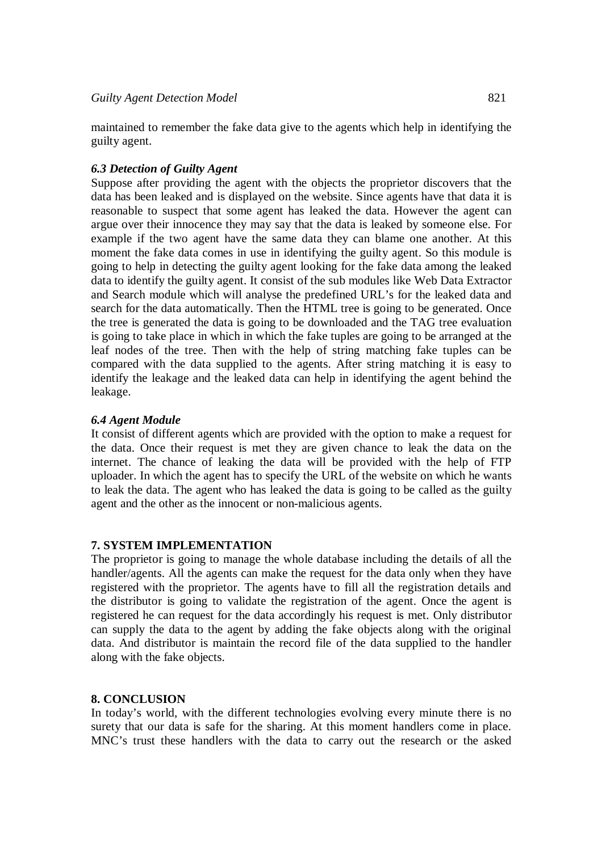maintained to remember the fake data give to the agents which help in identifying the guilty agent.

# *6.3 Detection of Guilty Agent*

Suppose after providing the agent with the objects the proprietor discovers that the data has been leaked and is displayed on the website. Since agents have that data it is reasonable to suspect that some agent has leaked the data. However the agent can argue over their innocence they may say that the data is leaked by someone else. For example if the two agent have the same data they can blame one another. At this moment the fake data comes in use in identifying the guilty agent. So this module is going to help in detecting the guilty agent looking for the fake data among the leaked data to identify the guilty agent. It consist of the sub modules like Web Data Extractor and Search module which will analyse the predefined URL's for the leaked data and search for the data automatically. Then the HTML tree is going to be generated. Once the tree is generated the data is going to be downloaded and the TAG tree evaluation is going to take place in which in which the fake tuples are going to be arranged at the leaf nodes of the tree. Then with the help of string matching fake tuples can be compared with the data supplied to the agents. After string matching it is easy to identify the leakage and the leaked data can help in identifying the agent behind the leakage.

# *6.4 Agent Module*

It consist of different agents which are provided with the option to make a request for the data. Once their request is met they are given chance to leak the data on the internet. The chance of leaking the data will be provided with the help of FTP uploader. In which the agent has to specify the URL of the website on which he wants to leak the data. The agent who has leaked the data is going to be called as the guilty agent and the other as the innocent or non-malicious agents.

# **7. SYSTEM IMPLEMENTATION**

The proprietor is going to manage the whole database including the details of all the handler/agents. All the agents can make the request for the data only when they have registered with the proprietor. The agents have to fill all the registration details and the distributor is going to validate the registration of the agent. Once the agent is registered he can request for the data accordingly his request is met. Only distributor can supply the data to the agent by adding the fake objects along with the original data. And distributor is maintain the record file of the data supplied to the handler along with the fake objects.

# **8. CONCLUSION**

In today's world, with the different technologies evolving every minute there is no surety that our data is safe for the sharing. At this moment handlers come in place. MNC's trust these handlers with the data to carry out the research or the asked